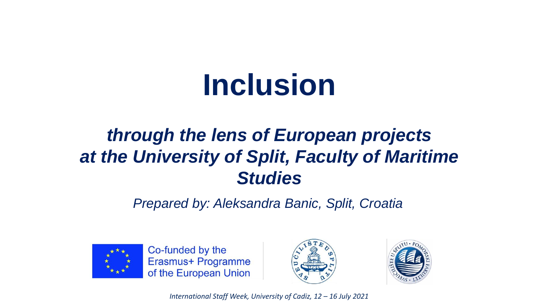# **Inclusion**

### *through the lens of European projects at the University of Split, Faculty of Maritime Studies*

*Prepared by: Aleksandra Banic, Split, Croatia*



Co-funded by the Erasmus+ Programme of the European Union



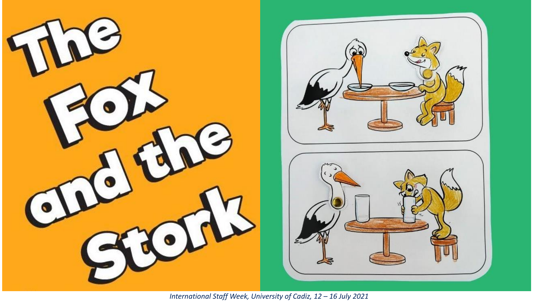

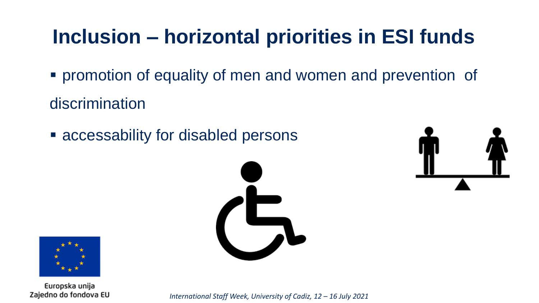# **Inclusion – horizontal priorities in ESI funds**

- promotion of equality of men and women and prevention of discrimination
- accessability for disabled persons





Europska unija Zajedno do fondova EU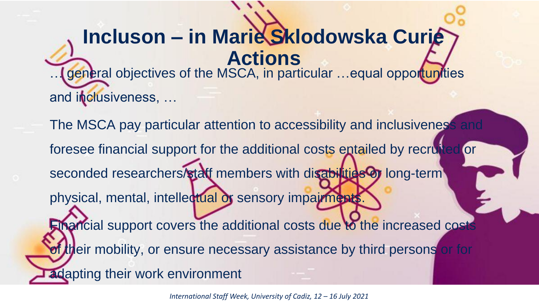## **Incluson – in Marie Sklodowska Curie Actions**

… general objectives of the MSCA, in particular …equal opportunities and inclusiveness, …

The MSCA pay particular attention to accessibility and inclusiveness and foresee financial support for the additional costs entailed by recruited or seconded researchers/staff members with disabilities or long-term physical, mental, intellectual or sensory impairments. Financial support covers the additional costs due to the increased costs of their mobility, or ensure necessary assistance by third persons or for adapting their work environment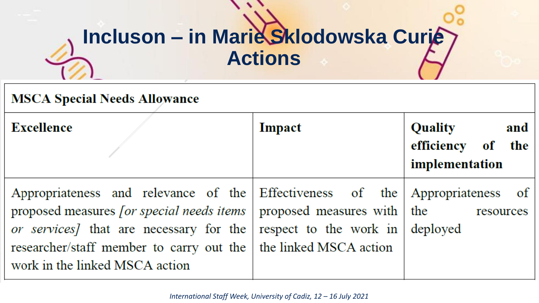# **Incluson – in Marie Sklodowska Curie Actions**

#### **MSCA Special Needs Allowance**

| <b>Excellence</b>                                                                                                                                                                                                                                                                                                             | Impact                          | Quality<br>and<br>efficiency of the<br>implementation |
|-------------------------------------------------------------------------------------------------------------------------------------------------------------------------------------------------------------------------------------------------------------------------------------------------------------------------------|---------------------------------|-------------------------------------------------------|
| Appropriateness and relevance of the Effectiveness of the Appropriateness of<br>proposed measures <i>for special needs items</i>   proposed measures with $\vert$ the<br><i>or services</i> that are necessary for the<br>researcher/staff member to carry out the   the linked MSCA action<br>work in the linked MSCA action | respect to the work in deployed | resources                                             |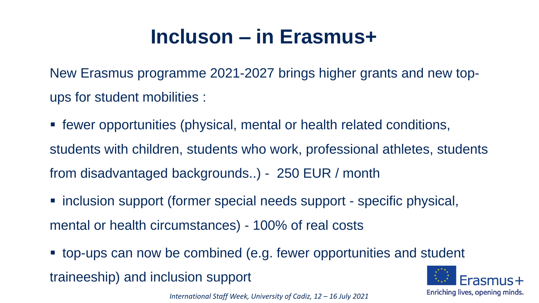## **Incluson – in Erasmus+**

New Erasmus programme 2021-2027 brings higher grants and new topups for student mobilities :

 fewer opportunities (physical, mental or health related conditions, students with children, students who work, professional athletes, students from disadvantaged backgrounds..) - 250 EUR / month

- inclusion support (former special needs support specific physical, mental or health circumstances) - 100% of real costs
- top-ups can now be combined (e.g. fewer opportunities and student

traineeship) and inclusion support

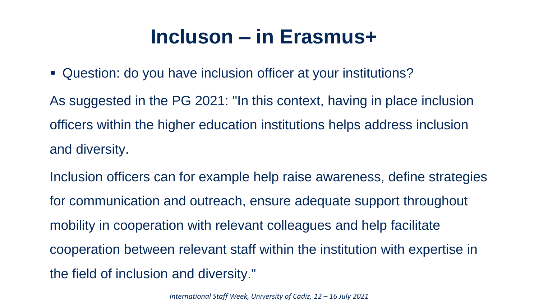### **Incluson – in Erasmus+**

Question: do you have inclusion officer at your institutions?

As suggested in the PG 2021: "In this context, having in place inclusion officers within the higher education institutions helps address inclusion and diversity.

Inclusion officers can for example help raise awareness, define strategies for communication and outreach, ensure adequate support throughout mobility in cooperation with relevant colleagues and help facilitate cooperation between relevant staff within the institution with expertise in the field of inclusion and diversity."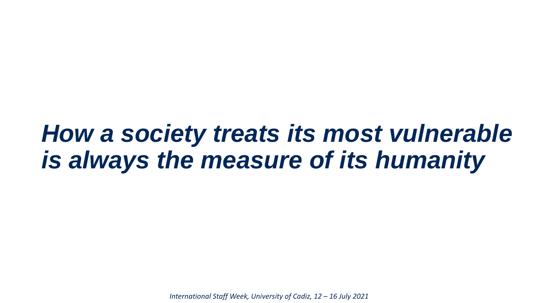# *How a society treats its most vulnerable is always the measure of its humanity*